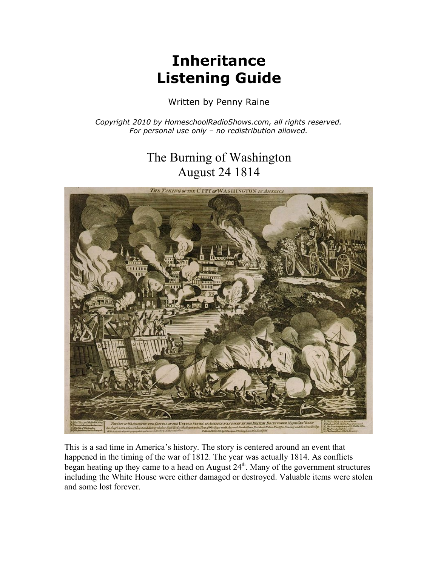## **Inheritance Listening Guide**

Written by Penny Raine

*Copyright 2010 by HomeschoolRadioShows.com, all rights reserved. For personal use only – no redistribution allowed.*

## The Burning of Washington August 24 1814



This is a sad time in America's history. The story is centered around an event that happened in the timing of the war of 1812. The year was actually 1814. As conflicts began heating up they came to a head on August 24<sup>th</sup>. Many of the government structures including the White House were either damaged or destroyed. Valuable items were stolen and some lost forever.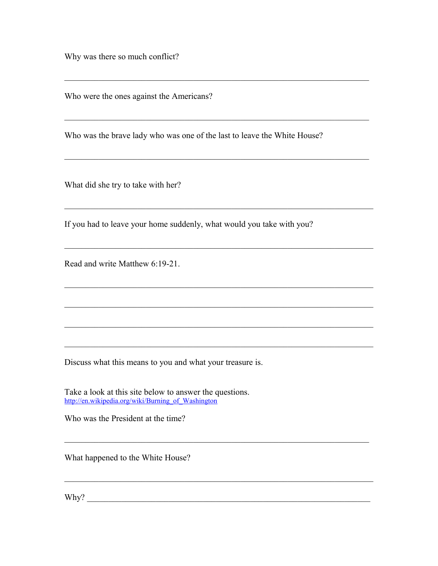Why was there so much conflict?

Who were the ones against the Americans?

Who was the brave lady who was one of the last to leave the White House?

\_\_\_\_\_\_\_\_\_\_\_\_\_\_\_\_\_\_\_\_\_\_\_\_\_\_\_\_\_\_\_\_\_\_\_\_\_\_\_\_\_\_\_\_\_\_\_\_\_\_\_\_\_\_\_\_\_\_\_\_\_\_\_\_\_\_\_\_\_\_\_

 $\mathcal{L}_\text{max} = \mathcal{L}_\text{max} = \mathcal{L}_\text{max} = \mathcal{L}_\text{max} = \mathcal{L}_\text{max} = \mathcal{L}_\text{max} = \mathcal{L}_\text{max} = \mathcal{L}_\text{max} = \mathcal{L}_\text{max} = \mathcal{L}_\text{max} = \mathcal{L}_\text{max} = \mathcal{L}_\text{max} = \mathcal{L}_\text{max} = \mathcal{L}_\text{max} = \mathcal{L}_\text{max} = \mathcal{L}_\text{max} = \mathcal{L}_\text{max} = \mathcal{L}_\text{max} = \mathcal{$ 

 $\mathcal{L}_\text{max}$  , and the contribution of the contribution of the contribution of the contribution of the contribution of the contribution of the contribution of the contribution of the contribution of the contribution of t

 $\_$  , and the set of the set of the set of the set of the set of the set of the set of the set of the set of the set of the set of the set of the set of the set of the set of the set of the set of the set of the set of th

 $\mathcal{L}_\text{max}$  , and the contribution of the contribution of the contribution of the contribution of the contribution of the contribution of the contribution of the contribution of the contribution of the contribution of t

 $\mathcal{L}_\text{max}$  , and the contribution of the contribution of the contribution of the contribution of the contribution of the contribution of the contribution of the contribution of the contribution of the contribution of t

 $\mathcal{L}_\text{max}$  , and the contribution of the contribution of the contribution of the contribution of the contribution of the contribution of the contribution of the contribution of the contribution of the contribution of t

 $\mathcal{L}_\text{max}$  , and the contribution of the contribution of the contribution of the contribution of the contribution of the contribution of the contribution of the contribution of the contribution of the contribution of t

 $\mathcal{L}_\text{max}$  , and the contribution of the contribution of the contribution of the contribution of the contribution of the contribution of the contribution of the contribution of the contribution of the contribution of t

 $\mathcal{L}_\mathcal{L}$  , and the set of the set of the set of the set of the set of the set of the set of the set of the set of the set of the set of the set of the set of the set of the set of the set of the set of the set of th

What did she try to take with her?

If you had to leave your home suddenly, what would you take with you?

Read and write Matthew 6:19-21.

Discuss what this means to you and what your treasure is.

Take a look at this site below to answer the questions. [http://en.wikipedia.org/wiki/Burning\\_of\\_Washington](http://en.wikipedia.org/wiki/Burning_of_Washington)

Who was the President at the time?

What happened to the White House?

Why? \_\_\_\_\_\_\_\_\_\_\_\_\_\_\_\_\_\_\_\_\_\_\_\_\_\_\_\_\_\_\_\_\_\_\_\_\_\_\_\_\_\_\_\_\_\_\_\_\_\_\_\_\_\_\_\_\_\_\_\_\_\_\_\_\_\_